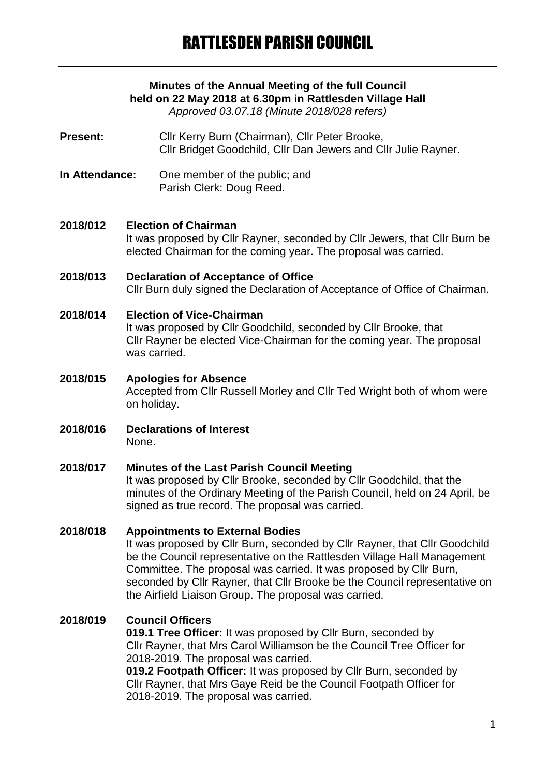# **Minutes of the Annual Meeting of the full Council held on 22 May 2018 at 6.30pm in Rattlesden Village Hall**

*Approved 03.07.18 (Minute 2018/028 refers)*

- **Present:** Cllr Kerry Burn (Chairman), Cllr Peter Brooke, Cllr Bridget Goodchild, Cllr Dan Jewers and Cllr Julie Rayner.
- **In Attendance:** One member of the public; and Parish Clerk: Doug Reed.

#### **2018/012 Election of Chairman**

It was proposed by Cllr Rayner, seconded by Cllr Jewers, that Cllr Burn be elected Chairman for the coming year. The proposal was carried.

#### **2018/013 Declaration of Acceptance of Office** Cllr Burn duly signed the Declaration of Acceptance of Office of Chairman.

# **2018/014 Election of Vice-Chairman** It was proposed by Cllr Goodchild, seconded by Cllr Brooke, that

Cllr Rayner be elected Vice-Chairman for the coming year. The proposal was carried.

- **2018/015 Apologies for Absence** Accepted from Cllr Russell Morley and Cllr Ted Wright both of whom were on holiday.
- **2018/016 Declarations of Interest** None.

#### **2018/017 Minutes of the Last Parish Council Meeting**

It was proposed by Cllr Brooke, seconded by Cllr Goodchild, that the minutes of the Ordinary Meeting of the Parish Council, held on 24 April, be signed as true record. The proposal was carried.

# **2018/018 Appointments to External Bodies**

It was proposed by Cllr Burn, seconded by Cllr Rayner, that Cllr Goodchild be the Council representative on the Rattlesden Village Hall Management Committee. The proposal was carried. It was proposed by Cllr Burn, seconded by Cllr Rayner, that Cllr Brooke be the Council representative on the Airfield Liaison Group. The proposal was carried.

# **2018/019 Council Officers**

**019.1 Tree Officer:** It was proposed by Cllr Burn, seconded by Cllr Rayner, that Mrs Carol Williamson be the Council Tree Officer for 2018-2019. The proposal was carried.

**019.2 Footpath Officer:** It was proposed by Cllr Burn, seconded by Cllr Rayner, that Mrs Gaye Reid be the Council Footpath Officer for 2018-2019. The proposal was carried.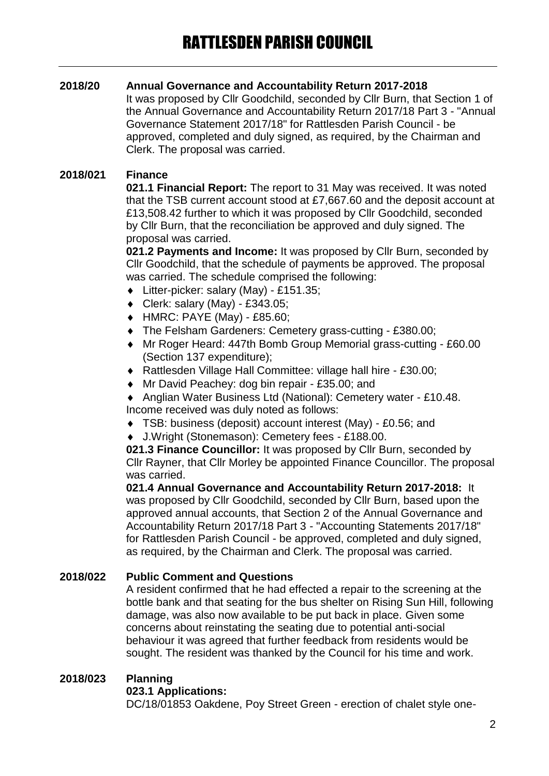# **2018/20 Annual Governance and Accountability Return 2017-2018**

It was proposed by Cllr Goodchild, seconded by Cllr Burn, that Section 1 of the Annual Governance and Accountability Return 2017/18 Part 3 - "Annual Governance Statement 2017/18" for Rattlesden Parish Council - be approved, completed and duly signed, as required, by the Chairman and Clerk. The proposal was carried.

# **2018/021 Finance**

**021.1 Financial Report:** The report to 31 May was received. It was noted that the TSB current account stood at £7,667.60 and the deposit account at £13,508.42 further to which it was proposed by Cllr Goodchild, seconded by Cllr Burn, that the reconciliation be approved and duly signed. The proposal was carried.

**021.2 Payments and Income:** It was proposed by Cllr Burn, seconded by Cllr Goodchild, that the schedule of payments be approved. The proposal was carried. The schedule comprised the following:

- Litter-picker: salary (May) £151.35;
- $\bullet$  Clerk: salary (May) £343.05;
- HMRC: PAYE (May) £85.60;
- The Felsham Gardeners: Cemetery grass-cutting £380.00;
- Mr Roger Heard: 447th Bomb Group Memorial grass-cutting £60.00 (Section 137 expenditure);
- Rattlesden Village Hall Committee: village hall hire £30.00;
- ◆ Mr David Peachey: dog bin repair £35.00; and
- Anglian Water Business Ltd (National): Cemetery water £10.48. Income received was duly noted as follows:
- TSB: business (deposit) account interest (May) £0.56; and
- J.Wright (Stonemason): Cemetery fees £188.00.

**021.3 Finance Councillor:** It was proposed by Cllr Burn, seconded by Cllr Rayner, that Cllr Morley be appointed Finance Councillor. The proposal was carried.

**021.4 Annual Governance and Accountability Return 2017-2018:** It was proposed by Cllr Goodchild, seconded by Cllr Burn, based upon the approved annual accounts, that Section 2 of the Annual Governance and Accountability Return 2017/18 Part 3 - "Accounting Statements 2017/18" for Rattlesden Parish Council - be approved, completed and duly signed, as required, by the Chairman and Clerk. The proposal was carried.

# **2018/022 Public Comment and Questions**

A resident confirmed that he had effected a repair to the screening at the bottle bank and that seating for the bus shelter on Rising Sun Hill, following damage, was also now available to be put back in place. Given some concerns about reinstating the seating due to potential anti-social behaviour it was agreed that further feedback from residents would be sought. The resident was thanked by the Council for his time and work.

# **2018/023 Planning**

# **023.1 Applications:**

DC/18/01853 Oakdene, Poy Street Green - erection of chalet style one-